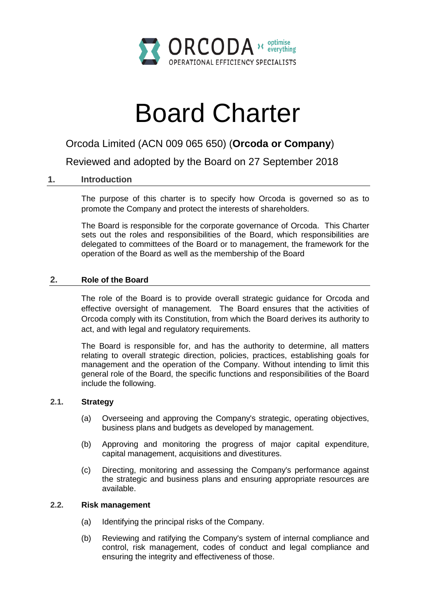

# Board Charter

# Orcoda Limited (ACN 009 065 650) (**Orcoda or Company**)

Reviewed and adopted by the Board on 27 September 2018

# **1. Introduction**

The purpose of this charter is to specify how Orcoda is governed so as to promote the Company and protect the interests of shareholders.

The Board is responsible for the corporate governance of Orcoda. This Charter sets out the roles and responsibilities of the Board, which responsibilities are delegated to committees of the Board or to management, the framework for the operation of the Board as well as the membership of the Board

### **2. Role of the Board**

The role of the Board is to provide overall strategic guidance for Orcoda and effective oversight of management. The Board ensures that the activities of Orcoda comply with its Constitution, from which the Board derives its authority to act, and with legal and regulatory requirements.

The Board is responsible for, and has the authority to determine, all matters relating to overall strategic direction, policies, practices, establishing goals for management and the operation of the Company. Without intending to limit this general role of the Board, the specific functions and responsibilities of the Board include the following.

## **2.1. Strategy**

- (a) Overseeing and approving the Company's strategic, operating objectives, business plans and budgets as developed by management.
- (b) Approving and monitoring the progress of major capital expenditure, capital management, acquisitions and divestitures.
- (c) Directing, monitoring and assessing the Company's performance against the strategic and business plans and ensuring appropriate resources are available.

#### **2.2. Risk management**

- (a) Identifying the principal risks of the Company.
- (b) Reviewing and ratifying the Company's system of internal compliance and control, risk management, codes of conduct and legal compliance and ensuring the integrity and effectiveness of those.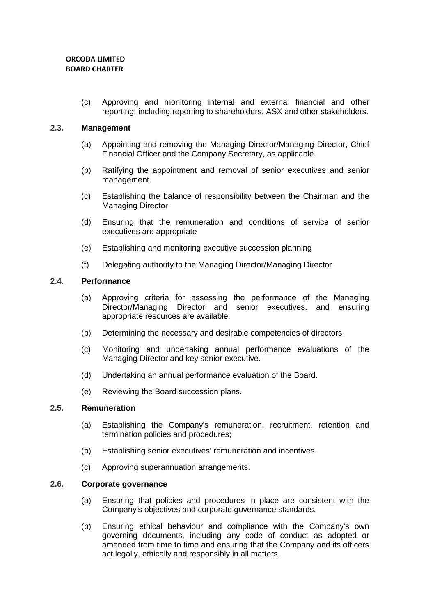(c) Approving and monitoring internal and external financial and other reporting, including reporting to shareholders, ASX and other stakeholders.

#### **2.3. Management**

- (a) Appointing and removing the Managing Director/Managing Director, Chief Financial Officer and the Company Secretary, as applicable.
- (b) Ratifying the appointment and removal of senior executives and senior management.
- (c) Establishing the balance of responsibility between the Chairman and the Managing Director
- (d) Ensuring that the remuneration and conditions of service of senior executives are appropriate
- (e) Establishing and monitoring executive succession planning
- (f) Delegating authority to the Managing Director/Managing Director

#### **2.4. Performance**

- (a) Approving criteria for assessing the performance of the Managing Director/Managing Director and senior executives, and ensuring appropriate resources are available.
- (b) Determining the necessary and desirable competencies of directors.
- (c) Monitoring and undertaking annual performance evaluations of the Managing Director and key senior executive.
- (d) Undertaking an annual performance evaluation of the Board.
- (e) Reviewing the Board succession plans.

#### **2.5. Remuneration**

- (a) Establishing the Company's remuneration, recruitment, retention and termination policies and procedures;
- (b) Establishing senior executives' remuneration and incentives.
- (c) Approving superannuation arrangements.

#### **2.6. Corporate governance**

- (a) Ensuring that policies and procedures in place are consistent with the Company's objectives and corporate governance standards.
- (b) Ensuring ethical behaviour and compliance with the Company's own governing documents, including any code of conduct as adopted or amended from time to time and ensuring that the Company and its officers act legally, ethically and responsibly in all matters.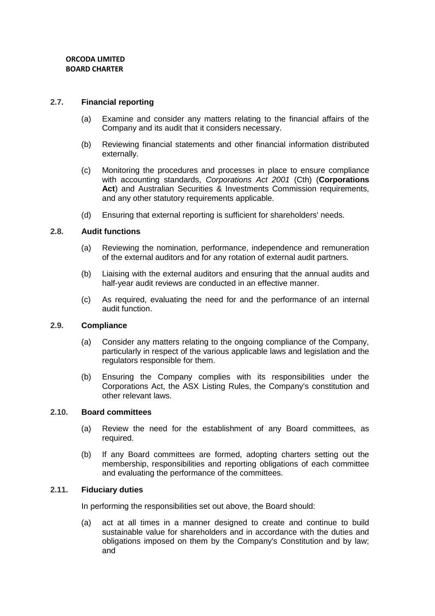#### **2.7. Financial reporting**

- (a) Examine and consider any matters relating to the financial affairs of the Company and its audit that it considers necessary.
- (b) Reviewing financial statements and other financial information distributed externally.
- (c) Monitoring the procedures and processes in place to ensure compliance with accounting standards, *Corporations Act 2001* (Cth) (**Corporations Act**) and Australian Securities & Investments Commission requirements, and any other statutory requirements applicable.
- (d) Ensuring that external reporting is sufficient for shareholders' needs.

#### **2.8. Audit functions**

- (a) Reviewing the nomination, performance, independence and remuneration of the external auditors and for any rotation of external audit partners.
- (b) Liaising with the external auditors and ensuring that the annual audits and half-year audit reviews are conducted in an effective manner.
- (c) As required, evaluating the need for and the performance of an internal audit function.

#### **2.9. Compliance**

- (a) Consider any matters relating to the ongoing compliance of the Company, particularly in respect of the various applicable laws and legislation and the regulators responsible for them.
- (b) Ensuring the Company complies with its responsibilities under the Corporations Act, the ASX Listing Rules, the Company's constitution and other relevant laws.

#### **2.10. Board committees**

- (a) Review the need for the establishment of any Board committees, as required.
- (b) If any Board committees are formed, adopting charters setting out the membership, responsibilities and reporting obligations of each committee and evaluating the performance of the committees.

#### **2.11. Fiduciary duties**

In performing the responsibilities set out above, the Board should:

(a) act at all times in a manner designed to create and continue to build sustainable value for shareholders and in accordance with the duties and obligations imposed on them by the Company's Constitution and by law; and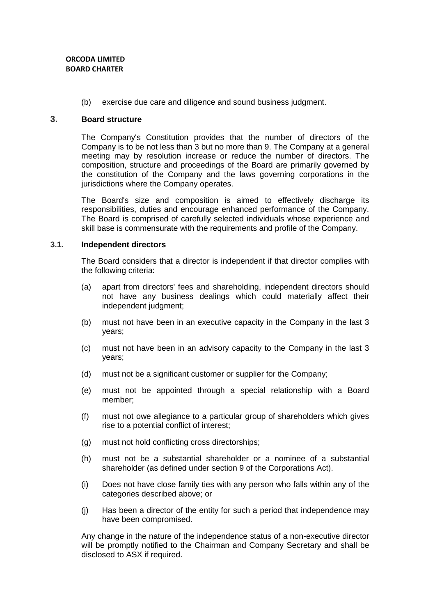#### **ORCODA LIMITED BOARD CHARTER**

(b) exercise due care and diligence and sound business judgment.

#### **3. Board structure**

The Company's Constitution provides that the number of directors of the Company is to be not less than 3 but no more than 9. The Company at a general meeting may by resolution increase or reduce the number of directors. The composition, structure and proceedings of the Board are primarily governed by the constitution of the Company and the laws governing corporations in the jurisdictions where the Company operates.

The Board's size and composition is aimed to effectively discharge its responsibilities, duties and encourage enhanced performance of the Company. The Board is comprised of carefully selected individuals whose experience and skill base is commensurate with the requirements and profile of the Company.

#### **3.1. Independent directors**

The Board considers that a director is independent if that director complies with the following criteria:

- (a) apart from directors' fees and shareholding, independent directors should not have any business dealings which could materially affect their independent judgment;
- (b) must not have been in an executive capacity in the Company in the last 3 years;
- (c) must not have been in an advisory capacity to the Company in the last 3 years;
- (d) must not be a significant customer or supplier for the Company;
- (e) must not be appointed through a special relationship with a Board member;
- (f) must not owe allegiance to a particular group of shareholders which gives rise to a potential conflict of interest;
- (g) must not hold conflicting cross directorships;
- (h) must not be a substantial shareholder or a nominee of a substantial shareholder (as defined under section 9 of the Corporations Act).
- (i) Does not have close family ties with any person who falls within any of the categories described above; or
- (j) Has been a director of the entity for such a period that independence may have been compromised.

Any change in the nature of the independence status of a non-executive director will be promptly notified to the Chairman and Company Secretary and shall be disclosed to ASX if required.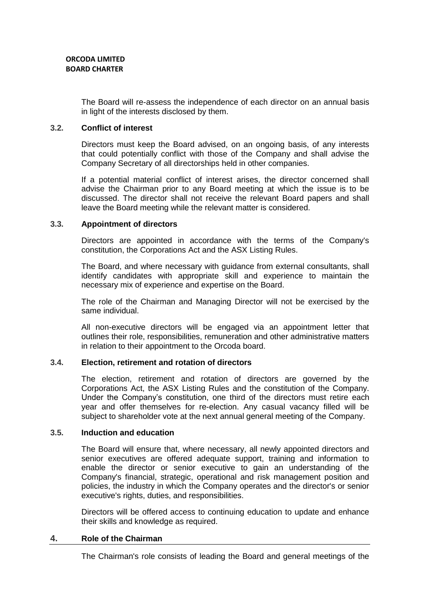The Board will re-assess the independence of each director on an annual basis in light of the interests disclosed by them.

#### **3.2. Conflict of interest**

Directors must keep the Board advised, on an ongoing basis, of any interests that could potentially conflict with those of the Company and shall advise the Company Secretary of all directorships held in other companies.

If a potential material conflict of interest arises, the director concerned shall advise the Chairman prior to any Board meeting at which the issue is to be discussed. The director shall not receive the relevant Board papers and shall leave the Board meeting while the relevant matter is considered.

#### **3.3. Appointment of directors**

Directors are appointed in accordance with the terms of the Company's constitution, the Corporations Act and the ASX Listing Rules.

The Board, and where necessary with guidance from external consultants, shall identify candidates with appropriate skill and experience to maintain the necessary mix of experience and expertise on the Board.

The role of the Chairman and Managing Director will not be exercised by the same individual.

All non-executive directors will be engaged via an appointment letter that outlines their role, responsibilities, remuneration and other administrative matters in relation to their appointment to the Orcoda board.

#### **3.4. Election, retirement and rotation of directors**

The election, retirement and rotation of directors are governed by the Corporations Act, the ASX Listing Rules and the constitution of the Company. Under the Company's constitution, one third of the directors must retire each year and offer themselves for re-election. Any casual vacancy filled will be subject to shareholder vote at the next annual general meeting of the Company.

#### **3.5. Induction and education**

The Board will ensure that, where necessary, all newly appointed directors and senior executives are offered adequate support, training and information to enable the director or senior executive to gain an understanding of the Company's financial, strategic, operational and risk management position and policies, the industry in which the Company operates and the director's or senior executive's rights, duties, and responsibilities.

Directors will be offered access to continuing education to update and enhance their skills and knowledge as required.

#### **4. Role of the Chairman**

The Chairman's role consists of leading the Board and general meetings of the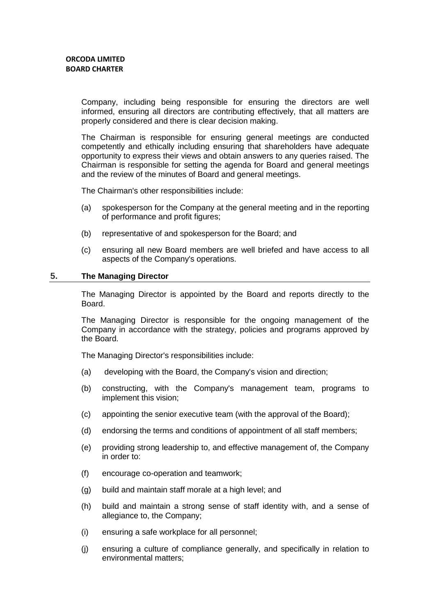Company, including being responsible for ensuring the directors are well informed, ensuring all directors are contributing effectively, that all matters are properly considered and there is clear decision making.

The Chairman is responsible for ensuring general meetings are conducted competently and ethically including ensuring that shareholders have adequate opportunity to express their views and obtain answers to any queries raised. The Chairman is responsible for setting the agenda for Board and general meetings and the review of the minutes of Board and general meetings.

The Chairman's other responsibilities include:

- (a) spokesperson for the Company at the general meeting and in the reporting of performance and profit figures;
- (b) representative of and spokesperson for the Board; and
- (c) ensuring all new Board members are well briefed and have access to all aspects of the Company's operations.

#### **5. The Managing Director**

The Managing Director is appointed by the Board and reports directly to the Board.

The Managing Director is responsible for the ongoing management of the Company in accordance with the strategy, policies and programs approved by the Board.

The Managing Director's responsibilities include:

- (a) developing with the Board, the Company's vision and direction;
- (b) constructing, with the Company's management team, programs to implement this vision;
- (c) appointing the senior executive team (with the approval of the Board);
- (d) endorsing the terms and conditions of appointment of all staff members;
- (e) providing strong leadership to, and effective management of, the Company in order to:
- (f) encourage co-operation and teamwork;
- (g) build and maintain staff morale at a high level; and
- (h) build and maintain a strong sense of staff identity with, and a sense of allegiance to, the Company;
- (i) ensuring a safe workplace for all personnel;
- (j) ensuring a culture of compliance generally, and specifically in relation to environmental matters;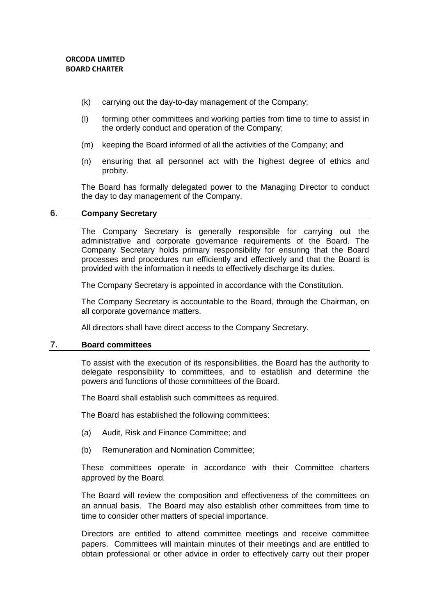- (k) carrying out the day-to-day management of the Company;
- (l) forming other committees and working parties from time to time to assist in the orderly conduct and operation of the Company;
- (m) keeping the Board informed of all the activities of the Company; and
- (n) ensuring that all personnel act with the highest degree of ethics and probity.

The Board has formally delegated power to the Managing Director to conduct the day to day management of the Company.

#### **6. Company Secretary**

The Company Secretary is generally responsible for carrying out the administrative and corporate governance requirements of the Board. The Company Secretary holds primary responsibility for ensuring that the Board processes and procedures run efficiently and effectively and that the Board is provided with the information it needs to effectively discharge its duties.

The Company Secretary is appointed in accordance with the Constitution.

The Company Secretary is accountable to the Board, through the Chairman, on all corporate governance matters.

All directors shall have direct access to the Company Secretary.

#### **7. Board committees**

To assist with the execution of its responsibilities, the Board has the authority to delegate responsibility to committees, and to establish and determine the powers and functions of those committees of the Board.

The Board shall establish such committees as required.

The Board has established the following committees:

- (a) Audit, Risk and Finance Committee; and
- (b) Remuneration and Nomination Committee;

These committees operate in accordance with their Committee charters approved by the Board.

The Board will review the composition and effectiveness of the committees on an annual basis. The Board may also establish other committees from time to time to consider other matters of special importance.

Directors are entitled to attend committee meetings and receive committee papers. Committees will maintain minutes of their meetings and are entitled to obtain professional or other advice in order to effectively carry out their proper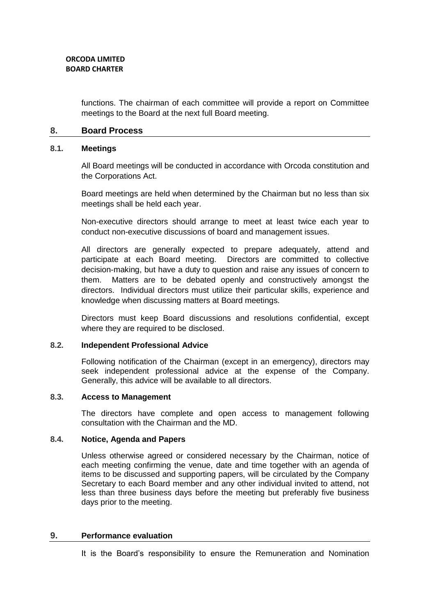functions. The chairman of each committee will provide a report on Committee meetings to the Board at the next full Board meeting.

#### **8. Board Process**

#### **8.1. Meetings**

All Board meetings will be conducted in accordance with Orcoda constitution and the Corporations Act.

Board meetings are held when determined by the Chairman but no less than six meetings shall be held each year.

Non-executive directors should arrange to meet at least twice each year to conduct non-executive discussions of board and management issues.

All directors are generally expected to prepare adequately, attend and participate at each Board meeting. Directors are committed to collective decision-making, but have a duty to question and raise any issues of concern to them. Matters are to be debated openly and constructively amongst the directors. Individual directors must utilize their particular skills, experience and knowledge when discussing matters at Board meetings.

Directors must keep Board discussions and resolutions confidential, except where they are required to be disclosed.

#### **8.2. Independent Professional Advice**

Following notification of the Chairman (except in an emergency), directors may seek independent professional advice at the expense of the Company. Generally, this advice will be available to all directors.

#### **8.3. Access to Management**

The directors have complete and open access to management following consultation with the Chairman and the MD.

#### **8.4. Notice, Agenda and Papers**

Unless otherwise agreed or considered necessary by the Chairman, notice of each meeting confirming the venue, date and time together with an agenda of items to be discussed and supporting papers, will be circulated by the Company Secretary to each Board member and any other individual invited to attend, not less than three business days before the meeting but preferably five business days prior to the meeting.

#### **9. Performance evaluation**

It is the Board's responsibility to ensure the Remuneration and Nomination